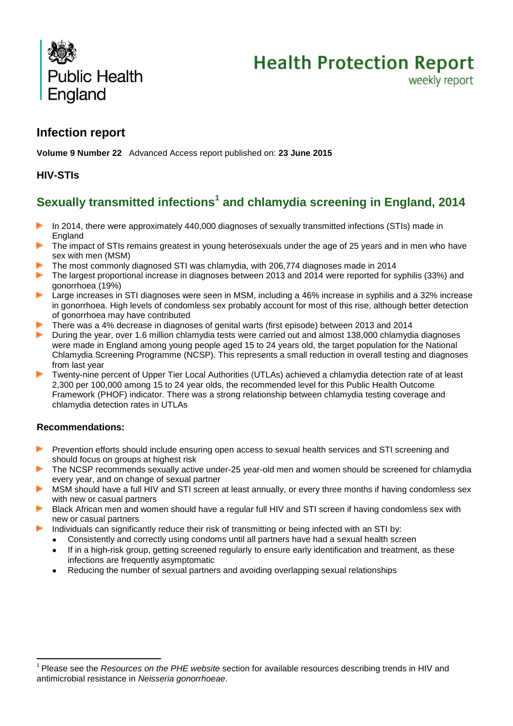



weekly report

# **Infection report**

**Volume 9 Number 22** Advanced Access report published on: **23 June 2015**

# **HIV-STIs**

# **Sexually transmitted infections<sup>1</sup> and chlamydia screening in England, 2014**

- In 2014, there were approximately 440,000 diagnoses of sexually transmitted infections (STIs) made in the c England
- The impact of STIs remains greatest in young heterosexuals under the age of 25 years and in men who have sex with men (MSM)
- The most commonly diagnosed STI was chlamydia, with 206,774 diagnoses made in 2014
- jы. The largest proportional increase in diagnoses between 2013 and 2014 were reported for syphilis (33%) and gonorrhoea (19%)
- Large increases in STI diagnoses were seen in MSM, including a 46% increase in syphilis and a 32% increase in gonorrhoea. High levels of condomless sex probably account for most of this rise, although better detection of gonorrhoea may have contributed
- There was a 4% decrease in diagnoses of genital warts (first episode) between 2013 and 2014
- in 1 During the year, over 1.6 million chlamydia tests were carried out and almost 138,000 chlamydia diagnoses were made in England among young people aged 15 to 24 years old, the target population for the National Chlamydia Screening Programme (NCSP). This represents a small reduction in overall testing and diagnoses from last year
- Twenty-nine percent of Upper Tier Local Authorities (UTLAs) achieved a chlamydia detection rate of at least 2,300 per 100,000 among 15 to 24 year olds, the recommended level for this Public Health Outcome Framework (PHOF) indicator. There was a strong relationship between chlamydia testing coverage and chlamydia detection rates in UTLAs

#### **Recommendations:**

 $\overline{a}$ 

- þ. Prevention efforts should include ensuring open access to sexual health services and STI screening and should focus on groups at highest risk
- The NCSP recommends sexually active under-25 year-old men and women should be screened for chlamydia every year, and on change of sexual partner
- MSM should have a full HIV and STI screen at least annually, or every three months if having condomless sex with new or casual partners
- Black African men and women should have a regular full HIV and STI screen if having condomless sex with new or casual partners
- Individuals can significantly reduce their risk of transmitting or being infected with an STI by:
	- Consistently and correctly using condoms until all partners have had a sexual health screen
	- If in a high-risk group, getting screened regularly to ensure early identification and treatment, as these infections are frequently asymptomatic
	- Reducing the number of sexual partners and avoiding overlapping sexual relationships

<sup>&</sup>lt;sup>1</sup> Please see the *Resources on the PHE website* section for available resources describing trends in HIV and antimicrobial resistance in *Neisseria gonorrhoeae*.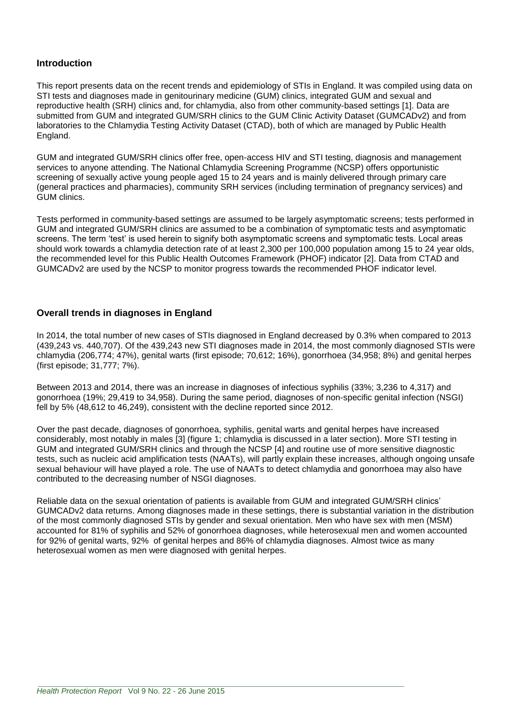#### **Introduction**

This report presents data on the recent trends and epidemiology of STIs in England. It was compiled using data on STI tests and diagnoses made in genitourinary medicine (GUM) clinics, integrated GUM and sexual and reproductive health (SRH) clinics and, for chlamydia, also from other community-based settings [1]. Data are submitted from GUM and integrated GUM/SRH clinics to the GUM Clinic Activity Dataset (GUMCADv2) and from laboratories to the Chlamydia Testing Activity Dataset (CTAD), both of which are managed by Public Health England.

GUM and integrated GUM/SRH clinics offer free, open-access HIV and STI testing, diagnosis and management services to anyone attending. The National Chlamydia Screening Programme (NCSP) offers opportunistic screening of sexually active young people aged 15 to 24 years and is mainly delivered through primary care (general practices and pharmacies), community SRH services (including termination of pregnancy services) and GUM clinics.

Tests performed in community-based settings are assumed to be largely asymptomatic screens; tests performed in GUM and integrated GUM/SRH clinics are assumed to be a combination of symptomatic tests and asymptomatic screens. The term 'test' is used herein to signify both asymptomatic screens and symptomatic tests. Local areas should work towards a chlamydia detection rate of at least 2,300 per 100,000 population among 15 to 24 year olds, the recommended level for this Public Health Outcomes Framework (PHOF) indicator [2]. Data from CTAD and GUMCADv2 are used by the NCSP to monitor progress towards the recommended PHOF indicator level.

#### **Overall trends in diagnoses in England**

In 2014, the total number of new cases of STIs diagnosed in England decreased by 0.3% when compared to 2013 (439,243 vs. 440,707). Of the 439,243 new STI diagnoses made in 2014, the most commonly diagnosed STIs were chlamydia (206,774; 47%), genital warts (first episode; 70,612; 16%), gonorrhoea (34,958; 8%) and genital herpes (first episode; 31,777; 7%).

Between 2013 and 2014, there was an increase in diagnoses of infectious syphilis (33%; 3,236 to 4,317) and gonorrhoea (19%; 29,419 to 34,958). During the same period, diagnoses of non-specific genital infection (NSGI) fell by 5% (48,612 to 46,249), consistent with the decline reported since 2012.

Over the past decade, diagnoses of gonorrhoea, syphilis, genital warts and genital herpes have increased considerably, most notably in males [3] (figure 1; chlamydia is discussed in a later section). More STI testing in GUM and integrated GUM/SRH clinics and through the NCSP [4] and routine use of more sensitive diagnostic tests, such as nucleic acid amplification tests (NAATs), will partly explain these increases, although ongoing unsafe sexual behaviour will have played a role. The use of NAATs to detect chlamydia and gonorrhoea may also have contributed to the decreasing number of NSGI diagnoses.

Reliable data on the sexual orientation of patients is available from GUM and integrated GUM/SRH clinics' GUMCADv2 data returns. Among diagnoses made in these settings, there is substantial variation in the distribution of the most commonly diagnosed STIs by gender and sexual orientation. Men who have sex with men (MSM) accounted for 81% of syphilis and 52% of gonorrhoea diagnoses, while heterosexual men and women accounted for 92% of genital warts, 92% of genital herpes and 86% of chlamydia diagnoses. Almost twice as many heterosexual women as men were diagnosed with genital herpes.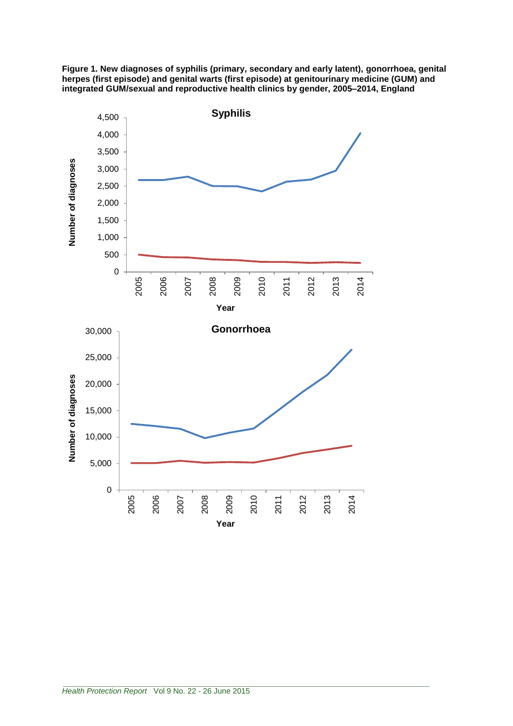

**Figure 1. New diagnoses of syphilis (primary, secondary and early latent), gonorrhoea, genital herpes (first episode) and genital warts (first episode) at genitourinary medicine (GUM) and integrated GUM/sexual and reproductive health clinics by gender, 2005–2014, England**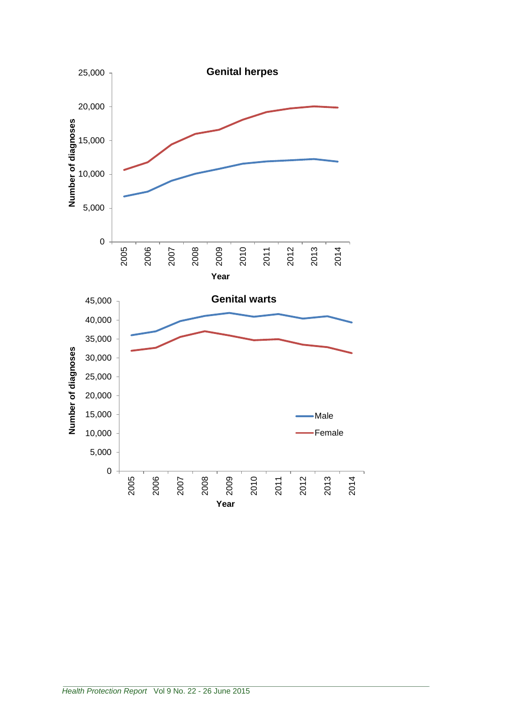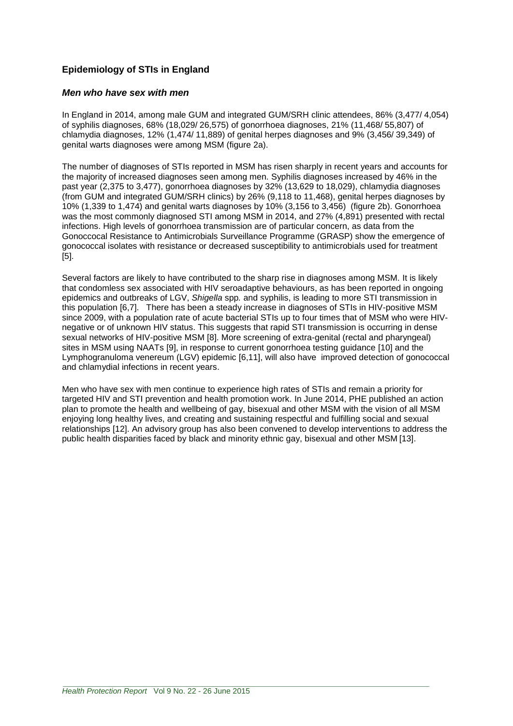## **Epidemiology of STIs in England**

#### *Men who have sex with men*

In England in 2014, among male GUM and integrated GUM/SRH clinic attendees, 86% (3,477/ 4,054) of syphilis diagnoses, 68% (18,029/ 26,575) of gonorrhoea diagnoses, 21% (11,468/ 55,807) of chlamydia diagnoses, 12% (1,474/ 11,889) of genital herpes diagnoses and 9% (3,456/ 39,349) of genital warts diagnoses were among MSM (figure 2a).

The number of diagnoses of STIs reported in MSM has risen sharply in recent years and accounts for the majority of increased diagnoses seen among men. Syphilis diagnoses increased by 46% in the past year (2,375 to 3,477), gonorrhoea diagnoses by 32% (13,629 to 18,029), chlamydia diagnoses (from GUM and integrated GUM/SRH clinics) by 26% (9,118 to 11,468), genital herpes diagnoses by 10% (1,339 to 1,474) and genital warts diagnoses by 10% (3,156 to 3,456) (figure 2b). Gonorrhoea was the most commonly diagnosed STI among MSM in 2014, and 27% (4,891) presented with rectal infections. High levels of gonorrhoea transmission are of particular concern, as data from the Gonoccocal Resistance to Antimicrobials Surveillance Programme (GRASP) show the emergence of gonococcal isolates with resistance or decreased susceptibility to antimicrobials used for treatment [5].

Several factors are likely to have contributed to the sharp rise in diagnoses among MSM. It is likely that condomless sex associated with HIV seroadaptive behaviours, as has been reported in ongoing epidemics and outbreaks of LGV, *Shigella* spp*.* and syphilis, is leading to more STI transmission in this population [6,7]. There has been a steady increase in diagnoses of STIs in HIV-positive MSM since 2009, with a population rate of acute bacterial STIs up to four times that of MSM who were HIVnegative or of unknown HIV status. This suggests that rapid STI transmission is occurring in dense sexual networks of HIV-positive MSM [8]. More screening of extra-genital (rectal and pharyngeal) sites in MSM using NAATs [9], in response to current gonorrhoea testing guidance [10] and the Lymphogranuloma venereum (LGV) epidemic [6,11], will also have improved detection of gonococcal and chlamydial infections in recent years.

Men who have sex with men continue to experience high rates of STIs and remain a priority for targeted HIV and STI prevention and health promotion work. In June 2014, PHE published an action plan to promote the health and wellbeing of gay, bisexual and other MSM with the vision of all MSM enjoying long healthy lives, and creating and sustaining respectful and fulfilling social and sexual relationships [12]. An advisory group has also been convened to develop interventions to address the public health disparities faced by black and minority ethnic gay, bisexual and other MSM [13].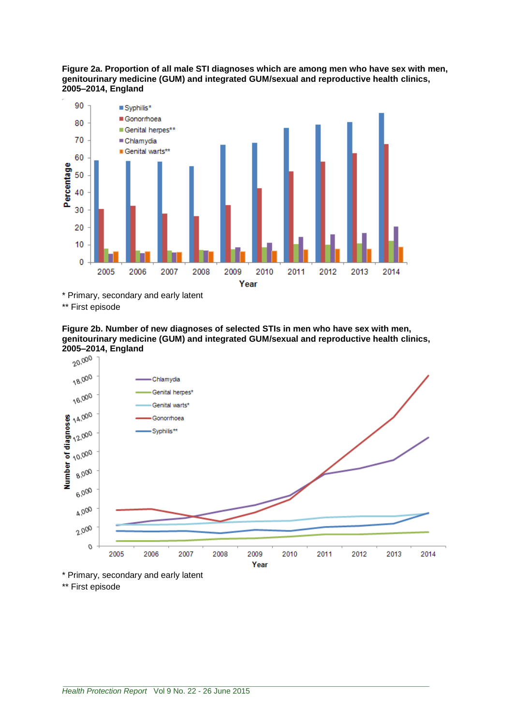**Figure 2a. Proportion of all male STI diagnoses which are among men who have sex with men, genitourinary medicine (GUM) and integrated GUM/sexual and reproductive health clinics, 2005–2014, England** 



\* Primary, secondary and early latent

\*\* First episode





\*\* First episode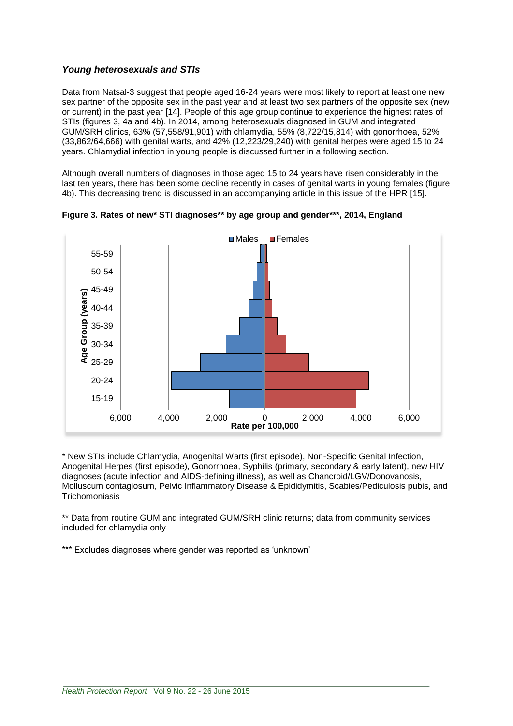### *Young heterosexuals and STIs*

Data from Natsal-3 suggest that people aged 16-24 years were most likely to report at least one new sex partner of the opposite sex in the past year and at least two sex partners of the opposite sex (new or current) in the past year [14]. People of this age group continue to experience the highest rates of STIs (figures 3, 4a and 4b). In 2014, among heterosexuals diagnosed in GUM and integrated GUM/SRH clinics, 63% (57,558/91,901) with chlamydia, 55% (8,722/15,814) with gonorrhoea, 52% (33,862/64,666) with genital warts, and 42% (12,223/29,240) with genital herpes were aged 15 to 24 years. Chlamydial infection in young people is discussed further in a following section.

Although overall numbers of diagnoses in those aged 15 to 24 years have risen considerably in the last ten years, there has been some decline recently in cases of genital warts in young females (figure 4b). This decreasing trend is discussed in an accompanying article in this issue of the HPR [15].



**Figure 3. Rates of new\* STI diagnoses\*\* by age group and gender\*\*\*, 2014, England** 

\* New STIs include Chlamydia, Anogenital Warts (first episode), Non-Specific Genital Infection, Anogenital Herpes (first episode), Gonorrhoea, Syphilis (primary, secondary & early latent), new HIV diagnoses (acute infection and AIDS-defining illness), as well as Chancroid/LGV/Donovanosis, Molluscum contagiosum, Pelvic Inflammatory Disease & Epididymitis, Scabies/Pediculosis pubis, and **Trichomoniasis** 

\*\* Data from routine GUM and integrated GUM/SRH clinic returns; data from community services included for chlamydia only

\*\*\* Excludes diagnoses where gender was reported as 'unknown'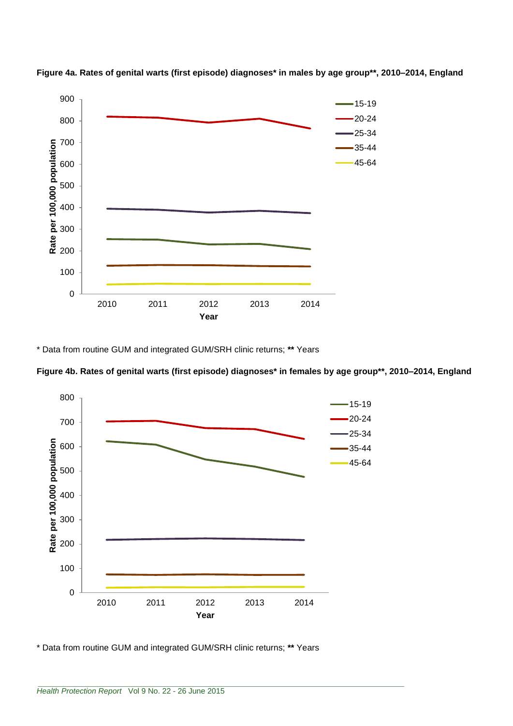

**Figure 4a. Rates of genital warts (first episode) diagnoses\* in males by age group\*\*, 2010–2014, England**

\* Data from routine GUM and integrated GUM/SRH clinic returns; **\*\*** Years





\* Data from routine GUM and integrated GUM/SRH clinic returns; **\*\*** Years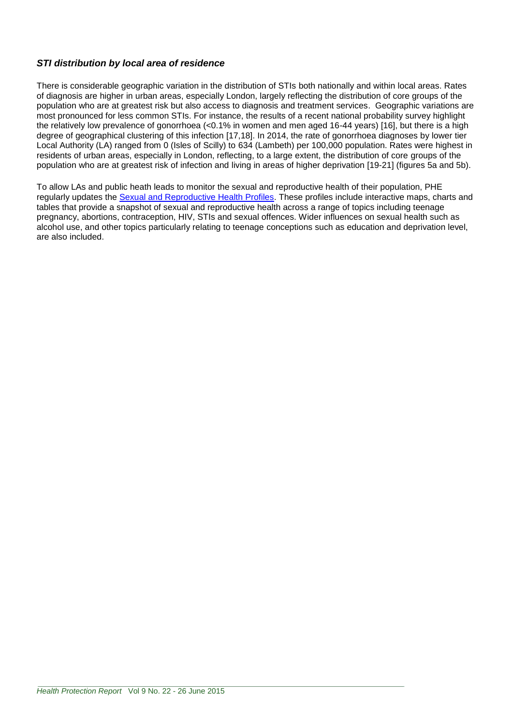## *STI distribution by local area of residence*

There is considerable geographic variation in the distribution of STIs both nationally and within local areas. Rates of diagnosis are higher in urban areas, especially London, largely reflecting the distribution of core groups of the population who are at greatest risk but also access to diagnosis and treatment services. Geographic variations are most pronounced for less common STIs. For instance, the results of a recent national probability survey highlight the relatively low prevalence of gonorrhoea (<0.1% in women and men aged 16-44 years) [16], but there is a high degree of geographical clustering of this infection [17,18]. In 2014, the rate of gonorrhoea diagnoses by lower tier Local Authority (LA) ranged from 0 (Isles of Scilly) to 634 (Lambeth) per 100,000 population. Rates were highest in residents of urban areas, especially in London, reflecting, to a large extent, the distribution of core groups of the population who are at greatest risk of infection and living in areas of higher deprivation [19-21] (figures 5a and 5b).

To allow LAs and public heath leads to monitor the sexual and reproductive health of their population, PHE regularly updates the [Sexual and Reproductive Health Profiles.](http://fingertips.phe.org.uk/profile/sexualhealth/data) These profiles include interactive maps, charts and tables that provide a snapshot of sexual and reproductive health across a range of topics including teenage pregnancy, abortions, contraception, HIV, STIs and sexual offences. Wider influences on sexual health such as alcohol use, and other topics particularly relating to teenage conceptions such as education and deprivation level, are also included.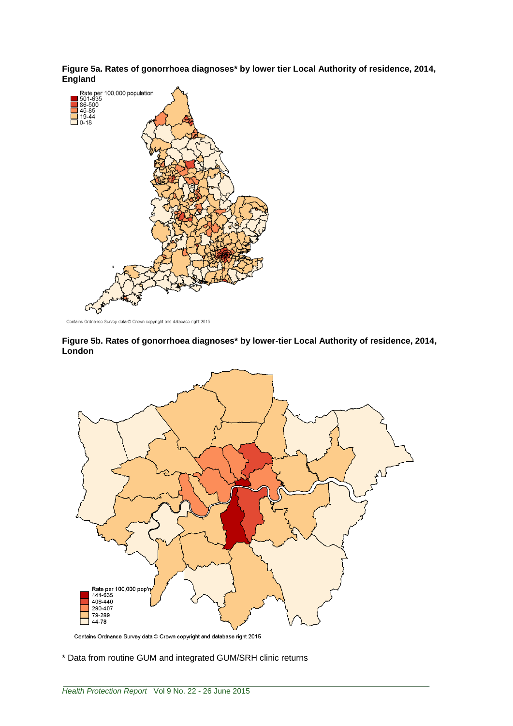**Figure 5a. Rates of gonorrhoea diagnoses\* by lower tier Local Authority of residence, 2014,** 



Contains Ordnance Survey data @ Crown copyright and database right 2015

**Figure 5b. Rates of gonorrhoea diagnoses\* by lower-tier Local Authority of residence, 2014, London**



Contains Ordnance Survey data © Crown copyright and database right 2015

\* Data from routine GUM and integrated GUM/SRH clinic returns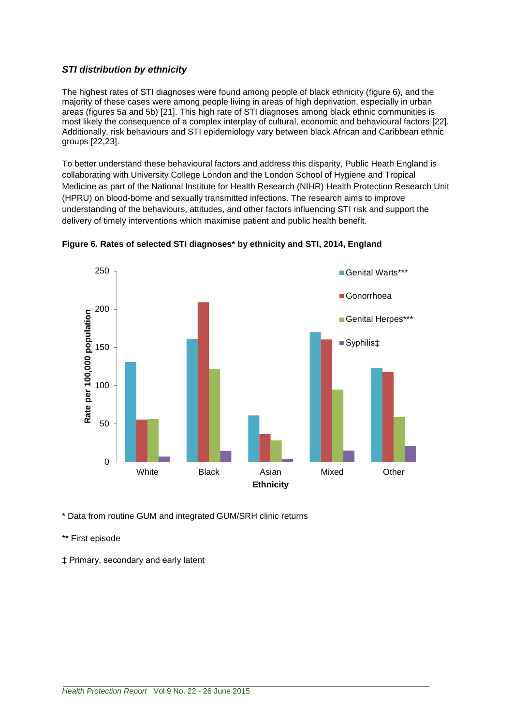### *STI distribution by ethnicity*

The highest rates of STI diagnoses were found among people of black ethnicity (figure 6), and the majority of these cases were among people living in areas of high deprivation, especially in urban areas (figures 5a and 5b) [21]. This high rate of STI diagnoses among black ethnic communities is most likely the consequence of a complex interplay of cultural, economic and behavioural factors [22]. Additionally, risk behaviours and STI epidemiology vary between black African and Caribbean ethnic groups [22,23].

To better understand these behavioural factors and address this disparity, Public Heath England is collaborating with University College London and the London School of Hygiene and Tropical Medicine as part of the National Institute for Health Research (NIHR) Health Protection Research Unit (HPRU) on blood-borne and sexually transmitted infections. The research aims to improve understanding of the behaviours, attitudes, and other factors influencing STI risk and support the delivery of timely interventions which maximise patient and public health benefit.



**Figure 6. Rates of selected STI diagnoses\* by ethnicity and STI, 2014, England**

\* Data from routine GUM and integrated GUM/SRH clinic returns

\*\* First episode

‡ Primary, secondary and early latent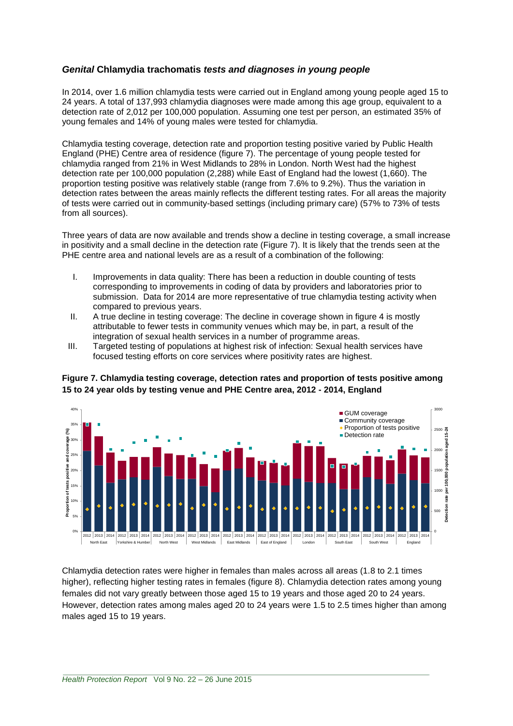#### *Genital* **Chlamydia trachomatis** *tests and diagnoses in young people*

In 2014, over 1.6 million chlamydia tests were carried out in England among young people aged 15 to 24 years. A total of 137,993 chlamydia diagnoses were made among this age group, equivalent to a detection rate of 2,012 per 100,000 population. Assuming one test per person, an estimated 35% of young females and 14% of young males were tested for chlamydia.

Chlamydia testing coverage, detection rate and proportion testing positive varied by Public Health England (PHE) Centre area of residence (figure 7). The percentage of young people tested for chlamydia ranged from 21% in West Midlands to 28% in London. North West had the highest detection rate per 100,000 population (2,288) while East of England had the lowest (1,660). The proportion testing positive was relatively stable (range from 7.6% to 9.2%). Thus the variation in detection rates between the areas mainly reflects the different testing rates. For all areas the majority of tests were carried out in community-based settings (including primary care) (57% to 73% of tests from all sources).

Three years of data are now available and trends show a decline in testing coverage, a small increase in positivity and a small decline in the detection rate (Figure 7). It is likely that the trends seen at the PHE centre area and national levels are as a result of a combination of the following:

- I. Improvements in data quality: There has been a reduction in double counting of tests corresponding to improvements in coding of data by providers and laboratories prior to submission. Data for 2014 are more representative of true chlamydia testing activity when compared to previous years.
- II. A true decline in testing coverage: The decline in coverage shown in figure 4 is mostly attributable to fewer tests in community venues which may be, in part, a result of the integration of sexual health services in a number of programme areas.
- III. Targeted testing of populations at highest risk of infection: Sexual health services have focused testing efforts on core services where positivity rates are highest.

**Figure 7. Chlamydia testing coverage, detection rates and proportion of tests positive among 15 to 24 year olds by testing venue and PHE Centre area, 2012 - 2014, England**



Chlamydia detection rates were higher in females than males across all areas (1.8 to 2.1 times higher), reflecting higher testing rates in females (figure 8). Chlamydia detection rates among young females did not vary greatly between those aged 15 to 19 years and those aged 20 to 24 years. However, detection rates among males aged 20 to 24 years were 1.5 to 2.5 times higher than among males aged 15 to 19 years.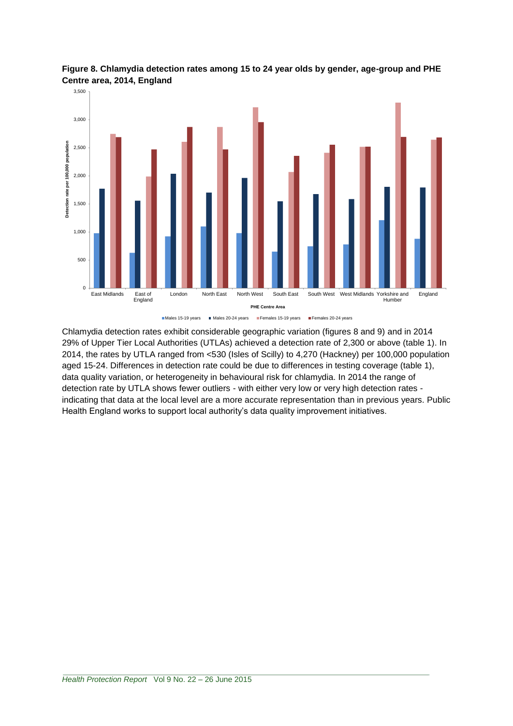

**Figure 8. Chlamydia detection rates among 15 to 24 year olds by gender, age-group and PHE Centre area, 2014, England**

Chlamydia detection rates exhibit considerable geographic variation (figures 8 and 9) and in 2014 29% of Upper Tier Local Authorities (UTLAs) achieved a detection rate of 2,300 or above (table 1). In 2014, the rates by UTLA ranged from <530 (Isles of Scilly) to 4,270 (Hackney) per 100,000 population aged 15-24. Differences in detection rate could be due to differences in testing coverage (table 1), data quality variation, or heterogeneity in behavioural risk for chlamydia. In 2014 the range of detection rate by UTLA shows fewer outliers - with either very low or very high detection rates indicating that data at the local level are a more accurate representation than in previous years. Public Health England works to support local authority's data quality improvement initiatives.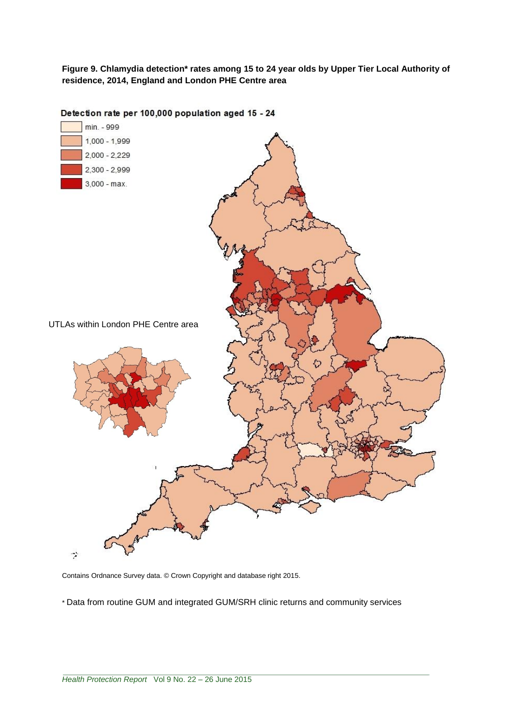**Figure 9. Chlamydia detection\* rates among 15 to 24 year olds by Upper Tier Local Authority of residence, 2014, England and London PHE Centre area**



Detection rate per 100,000 population aged 15 - 24

Contains Ordnance Survey data. © Crown Copyright and database right 2015.

\* Data from routine GUM and integrated GUM/SRH clinic returns and community services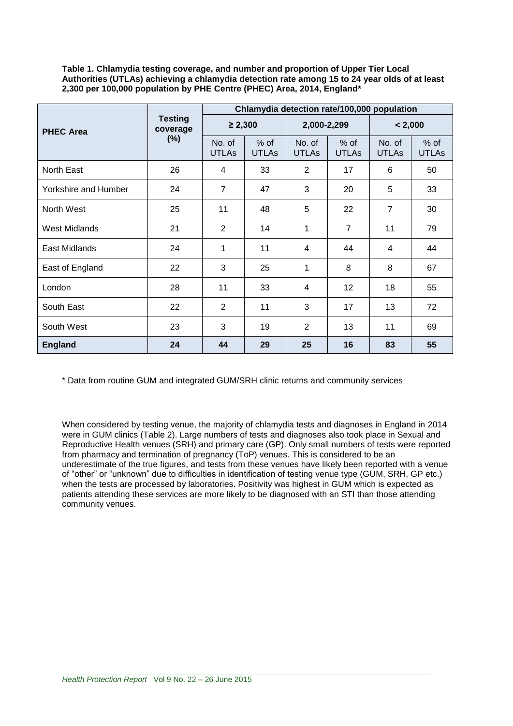**Table 1. Chlamydia testing coverage, and number and proportion of Upper Tier Local Authorities (UTLAs) achieving a chlamydia detection rate among 15 to 24 year olds of at least 2,300 per 100,000 population by PHE Centre (PHEC) Area, 2014, England\***

|                      | <b>Testing</b><br>coverage<br>$(\%)$ | Chlamydia detection rate/100,000 population |                        |                        |                        |                        |                        |
|----------------------|--------------------------------------|---------------------------------------------|------------------------|------------------------|------------------------|------------------------|------------------------|
| <b>PHEC Area</b>     |                                      | $\geq 2,300$                                |                        | 2,000-2,299            |                        | < 2,000                |                        |
|                      |                                      | No. of<br><b>UTLAs</b>                      | $%$ of<br><b>UTLAs</b> | No. of<br><b>UTLAs</b> | $%$ of<br><b>UTLAs</b> | No. of<br><b>UTLAs</b> | $%$ of<br><b>UTLAs</b> |
| North East           | 26                                   | 4                                           | 33                     | $\overline{2}$         | 17                     | 6                      | 50                     |
| Yorkshire and Humber | 24                                   | $\overline{7}$                              | 47                     | 3                      | 20                     | 5                      | 33                     |
| North West           | 25                                   | 11                                          | 48                     | 5                      | 22                     | $\overline{7}$         | 30                     |
| West Midlands        | 21                                   | 2                                           | 14                     | 1                      | $\overline{7}$         | 11                     | 79                     |
| East Midlands        | 24                                   | 1                                           | 11                     | 4                      | 44                     | 4                      | 44                     |
| East of England      | 22                                   | 3                                           | 25                     | 1                      | 8                      | 8                      | 67                     |
| London               | 28                                   | 11                                          | 33                     | 4                      | 12                     | 18                     | 55                     |
| South East           | 22                                   | $\overline{2}$                              | 11                     | 3                      | 17                     | 13                     | 72                     |
| South West           | 23                                   | 3                                           | 19                     | $\overline{2}$         | 13                     | 11                     | 69                     |
| <b>England</b>       | 24                                   | 44                                          | 29                     | 25                     | 16                     | 83                     | 55                     |

\* Data from routine GUM and integrated GUM/SRH clinic returns and community services

When considered by testing venue, the majority of chlamydia tests and diagnoses in England in 2014 were in GUM clinics (Table 2). Large numbers of tests and diagnoses also took place in Sexual and Reproductive Health venues (SRH) and primary care (GP). Only small numbers of tests were reported from pharmacy and termination of pregnancy (ToP) venues. This is considered to be an underestimate of the true figures, and tests from these venues have likely been reported with a venue of "other" or "unknown" due to difficulties in identification of testing venue type (GUM, SRH, GP etc.) when the tests are processed by laboratories. Positivity was highest in GUM which is expected as patients attending these services are more likely to be diagnosed with an STI than those attending community venues.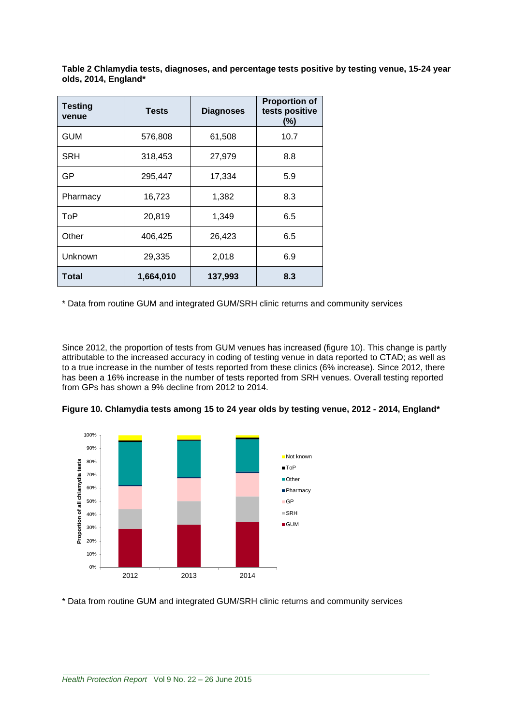| <b>Testing</b><br>venue | <b>Tests</b> | <b>Diagnoses</b> | <b>Proportion of</b><br>tests positive<br>(%) |  |
|-------------------------|--------------|------------------|-----------------------------------------------|--|
| <b>GUM</b>              | 576,808      | 61,508           | 10.7                                          |  |
| <b>SRH</b>              | 318,453      | 27,979           | 8.8                                           |  |
| GP                      | 295,447      | 17,334           | 5.9                                           |  |
| Pharmacy                | 16,723       | 1,382            | 8.3                                           |  |
| ToP                     | 20,819       | 1,349            | 6.5                                           |  |
| Other                   | 406,425      | 26,423           | 6.5                                           |  |
| Unknown                 | 29,335       | 2,018            | 6.9                                           |  |
| Total                   | 1,664,010    | 137,993          | 8.3                                           |  |

**Table 2 Chlamydia tests, diagnoses, and percentage tests positive by testing venue, 15-24 year olds, 2014, England\***

\* Data from routine GUM and integrated GUM/SRH clinic returns and community services

Since 2012, the proportion of tests from GUM venues has increased (figure 10). This change is partly attributable to the increased accuracy in coding of testing venue in data reported to CTAD; as well as to a true increase in the number of tests reported from these clinics (6% increase). Since 2012, there has been a 16% increase in the number of tests reported from SRH venues. Overall testing reported from GPs has shown a 9% decline from 2012 to 2014.



**Figure 10. Chlamydia tests among 15 to 24 year olds by testing venue, 2012 - 2014, England\***

\* Data from routine GUM and integrated GUM/SRH clinic returns and community services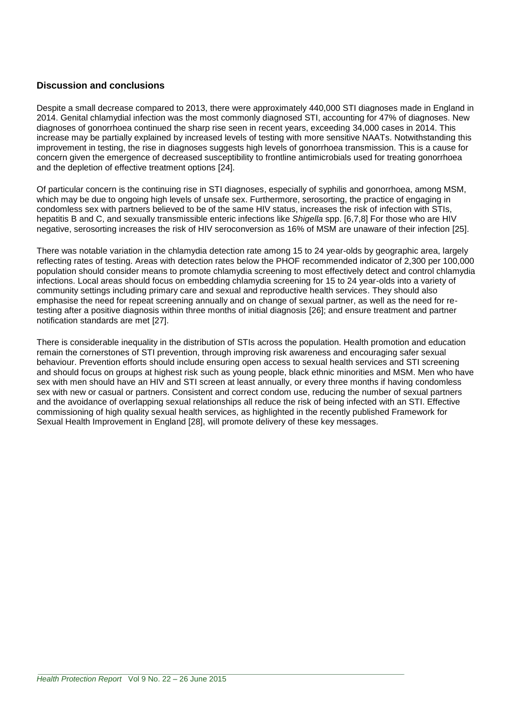## **Discussion and conclusions**

Despite a small decrease compared to 2013, there were approximately 440,000 STI diagnoses made in England in 2014. Genital chlamydial infection was the most commonly diagnosed STI, accounting for 47% of diagnoses. New diagnoses of gonorrhoea continued the sharp rise seen in recent years, exceeding 34,000 cases in 2014. This increase may be partially explained by increased levels of testing with more sensitive NAATs. Notwithstanding this improvement in testing, the rise in diagnoses suggests high levels of gonorrhoea transmission. This is a cause for concern given the emergence of decreased susceptibility to frontline antimicrobials used for treating gonorrhoea and the depletion of effective treatment options [24].

Of particular concern is the continuing rise in STI diagnoses, especially of syphilis and gonorrhoea, among MSM, which may be due to ongoing high levels of unsafe sex. Furthermore, serosorting, the practice of engaging in condomless sex with partners believed to be of the same HIV status, increases the risk of infection with STIs, hepatitis B and C, and sexually transmissible enteric infections like *Shigella* spp. [6,7,8] For those who are HIV negative, serosorting increases the risk of HIV seroconversion as 16% of MSM are unaware of their infection [25].

There was notable variation in the chlamydia detection rate among 15 to 24 year-olds by geographic area, largely reflecting rates of testing. Areas with detection rates below the PHOF recommended indicator of 2,300 per 100,000 population should consider means to promote chlamydia screening to most effectively detect and control chlamydia infections. Local areas should focus on embedding chlamydia screening for 15 to 24 year-olds into a variety of community settings including primary care and sexual and reproductive health services. They should also emphasise the need for repeat screening annually and on change of sexual partner, as well as the need for retesting after a positive diagnosis within three months of initial diagnosis [26]; and ensure treatment and partner notification standards are met [27].

There is considerable inequality in the distribution of STIs across the population. Health promotion and education remain the cornerstones of STI prevention, through improving risk awareness and encouraging safer sexual behaviour. Prevention efforts should include ensuring open access to sexual health services and STI screening and should focus on groups at highest risk such as young people, black ethnic minorities and MSM. Men who have sex with men should have an HIV and STI screen at least annually, or every three months if having condomless sex with new or casual or partners. Consistent and correct condom use, reducing the number of sexual partners and the avoidance of overlapping sexual relationships all reduce the risk of being infected with an STI. Effective commissioning of high quality sexual health services, as highlighted in the recently published Framework for Sexual Health Improvement in England [28], will promote delivery of these key messages.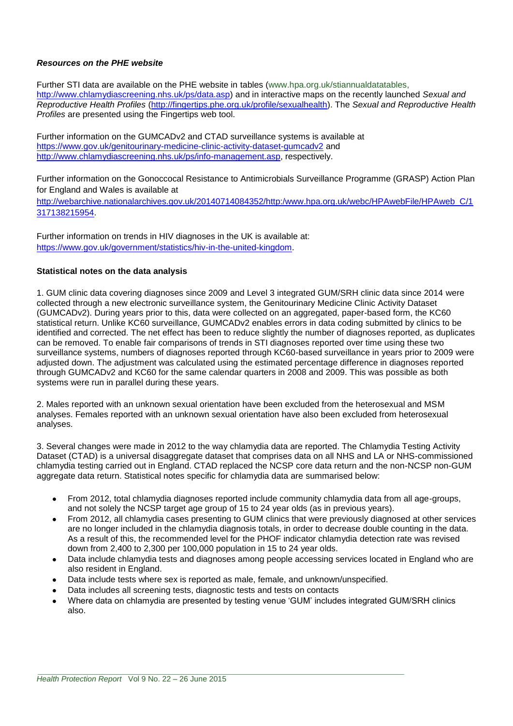#### *Resources on the PHE website*

Further STI data are available on the PHE website in tables [\(www.hpa.org.uk/stiannualdatatables,](http://www.hpa.org.uk/stiannualdatatables) [http://www.chlamydiascreening.nhs.uk/ps/data.asp\)](http://www.chlamydiascreening.nhs.uk/ps/data.asp) and in interactive maps on the recently launched *Sexual and Reproductive Health Profiles* [\(http://fingertips.phe.org.uk/profile/sexualhealth\)](http://fingertips.phe.org.uk/profile/sexualhealth). The *Sexual and Reproductive Health Profiles* are presented using the Fingertips web tool.

Further information on the GUMCADv2 and CTAD surveillance systems is available at <https://www.gov.uk/genitourinary-medicine-clinic-activity-dataset-gumcadv2> and [http://www.chlamydiascreening.nhs.uk/ps/info-management.asp,](http://www.chlamydiascreening.nhs.uk/ps/info-management.asp) respectively.

Further information on the Gonoccocal Resistance to Antimicrobials Surveillance Programme (GRASP) Action Plan for England and Wales is available at

[http://webarchive.nationalarchives.gov.uk/20140714084352/http:/www.hpa.org.uk/webc/HPAwebFile/HPAweb\\_C/1](http://webarchive.nationalarchives.gov.uk/20140714084352/http:/www.hpa.org.uk/webc/HPAwebFile/HPAweb_C/1317138215954) [317138215954.](http://webarchive.nationalarchives.gov.uk/20140714084352/http:/www.hpa.org.uk/webc/HPAwebFile/HPAweb_C/1317138215954)

Further information on trends in HIV diagnoses in the UK is available at: [https://www.gov.uk/government/statistics/hiv-in-the-united-kingdom.](https://www.gov.uk/government/statistics/hiv-in-the-united-kingdom)

#### **Statistical notes on the data analysis**

1. GUM clinic data covering diagnoses since 2009 and Level 3 integrated GUM/SRH clinic data since 2014 were collected through a new electronic surveillance system, the Genitourinary Medicine Clinic Activity Dataset (GUMCADv2). During years prior to this, data were collected on an aggregated, paper-based form, the KC60 statistical return. Unlike KC60 surveillance, GUMCADv2 enables errors in data coding submitted by clinics to be identified and corrected. The net effect has been to reduce slightly the number of diagnoses reported, as duplicates can be removed. To enable fair comparisons of trends in STI diagnoses reported over time using these two surveillance systems, numbers of diagnoses reported through KC60-based surveillance in years prior to 2009 were adjusted down. The adjustment was calculated using the estimated percentage difference in diagnoses reported through GUMCADv2 and KC60 for the same calendar quarters in 2008 and 2009. This was possible as both systems were run in parallel during these years.

2. Males reported with an unknown sexual orientation have been excluded from the heterosexual and MSM analyses. Females reported with an unknown sexual orientation have also been excluded from heterosexual analyses.

3. Several changes were made in 2012 to the way chlamydia data are reported. The Chlamydia Testing Activity Dataset (CTAD) is a universal disaggregate dataset that comprises data on all NHS and LA or NHS-commissioned chlamydia testing carried out in England. CTAD replaced the NCSP core data return and the non-NCSP non-GUM aggregate data return. Statistical notes specific for chlamydia data are summarised below:

- From 2012, total chlamydia diagnoses reported include community chlamydia data from all age-groups, and not solely the NCSP target age group of 15 to 24 year olds (as in previous years).
- From 2012, all chlamydia cases presenting to GUM clinics that were previously diagnosed at other services are no longer included in the chlamydia diagnosis totals, in order to decrease double counting in the data. As a result of this, the recommended level for the PHOF indicator chlamydia detection rate was revised down from 2,400 to 2,300 per 100,000 population in 15 to 24 year olds.
- Data include chlamydia tests and diagnoses among people accessing services located in England who are also resident in England.
- Data include tests where sex is reported as male, female, and unknown/unspecified.
- Data includes all screening tests, diagnostic tests and tests on contacts
- Where data on chlamydia are presented by testing venue 'GUM' includes integrated GUM/SRH clinics also.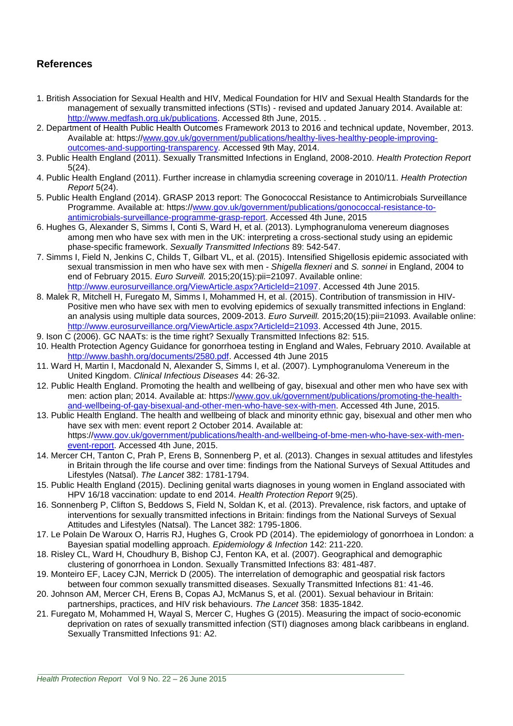## **References**

- 1. British Association for Sexual Health and HIV, Medical Foundation for HIV and Sexual Health Standards for the management of sexually transmitted infections (STIs) - revised and updated January 2014. Available at: [http://www.medfash.org.uk/publications.](http://www.medfash.org.uk/publications) Accessed 8th June, 2015. .
- 2. Department of Health Public Health Outcomes Framework 2013 to 2016 and technical update, November, 2013. Available at: https:/[/www.gov.uk/government/publications/healthy-lives-healthy-people-improving](http://www.gov.uk/government/publications/healthy-lives-healthy-people-improving-outcomes-and-supporting-transparency)[outcomes-and-supporting-transparency.](http://www.gov.uk/government/publications/healthy-lives-healthy-people-improving-outcomes-and-supporting-transparency) Accessed 9th May, 2014.
- 3. Public Health England (2011). Sexually Transmitted Infections in England, 2008-2010. *Health Protection Report* 5(24).
- 4. Public Health England (2011). Further increase in chlamydia screening coverage in 2010/11. *Health Protection Report* 5(24).
- 5. Public Health England (2014). GRASP 2013 report: The Gonococcal Resistance to Antimicrobials Surveillance Programme. Available at: https:/[/www.gov.uk/government/publications/gonococcal-resistance-to](http://www.gov.uk/government/publications/gonococcal-resistance-to-antimicrobials-surveillance-programme-grasp-report)[antimicrobials-surveillance-programme-grasp-report.](http://www.gov.uk/government/publications/gonococcal-resistance-to-antimicrobials-surveillance-programme-grasp-report) Accessed 4th June, 2015
- 6. Hughes G, Alexander S, Simms I, Conti S, Ward H, et al. (2013). Lymphogranuloma venereum diagnoses among men who have sex with men in the UK: interpreting a cross-sectional study using an epidemic phase-specific framework. *Sexually Transmitted Infections* 89: 542-547.
- 7. Simms I, Field N, Jenkins C, Childs T, Gilbart VL, et al. (2015). Intensified Shigellosis epidemic associated with sexual transmission in men who have sex with men - *Shigella flexneri* and *S. sonnei* in England, 2004 to end of February 2015. *Euro Surveill.* 2015;20(15):pii=21097. Available online: [http://www.eurosurveillance.org/ViewArticle.aspx?ArticleId=21097.](http://www.eurosurveillance.org/ViewArticle.aspx?ArticleId=21097) Accessed 4th June 2015.
- 8. Malek R, Mitchell H, Furegato M, Simms I, Mohammed H, et al. (2015). Contribution of transmission in HIV-Positive men who have sex with men to evolving epidemics of sexually transmitted infections in England: an analysis using multiple data sources, 2009-2013. *Euro Surveill.* 2015;20(15):pii=21093. Available online: [http://www.eurosurveillance.org/ViewArticle.aspx?ArticleId=21093.](http://www.eurosurveillance.org/ViewArticle.aspx?ArticleId=21093) Accessed 4th June, 2015.
- 9. Ison C (2006). GC NAATs: is the time right? Sexually Transmitted Infections 82: 515.
- 10. Health Protection Agency Guidance for gonorrhoea testing in England and Wales, February 2010. Available at [http://www.bashh.org/documents/2580.pdf.](http://www.bashh.org/documents/2580.pdf) Accessed 4th June 2015
- 11. Ward H, Martin I, Macdonald N, Alexander S, Simms I, et al. (2007). Lymphogranuloma Venereum in the United Kingdom. *Clinical Infectious Diseases* 44: 26-32.
- 12. Public Health England. Promoting the health and wellbeing of gay, bisexual and other men who have sex with men: action plan; 2014. Available at: https:/[/www.gov.uk/government/publications/promoting-the-health](http://www.gov.uk/government/publications/promoting-the-health-and-wellbeing-of-gay-bisexual-and-other-men-who-have-sex-with-men)[and-wellbeing-of-gay-bisexual-and-other-men-who-have-sex-with-men.](http://www.gov.uk/government/publications/promoting-the-health-and-wellbeing-of-gay-bisexual-and-other-men-who-have-sex-with-men) Accessed 4th June, 2015.
- 13. Public Health England. The health and wellbeing of black and minority ethnic gay, bisexual and other men who have sex with men: event report 2 October 2014. Available at: https:/[/www.gov.uk/government/publications/health-and-wellbeing-of-bme-men-who-have-sex-with-men](http://www.gov.uk/government/publications/health-and-wellbeing-of-bme-men-who-have-sex-with-men-event-report)[event-report.](http://www.gov.uk/government/publications/health-and-wellbeing-of-bme-men-who-have-sex-with-men-event-report) Accessed 4th June, 2015.
- 14. Mercer CH, Tanton C, Prah P, Erens B, Sonnenberg P, et al. (2013). Changes in sexual attitudes and lifestyles in Britain through the life course and over time: findings from the National Surveys of Sexual Attitudes and Lifestyles (Natsal). *The Lancet* 382: 1781-1794.
- 15. Public Health England (2015). Declining genital warts diagnoses in young women in England associated with HPV 16/18 vaccination: update to end 2014. *Health Protection Report* 9(25).
- 16. Sonnenberg P, Clifton S, Beddows S, Field N, Soldan K, et al. (2013). Prevalence, risk factors, and uptake of interventions for sexually transmitted infections in Britain: findings from the National Surveys of Sexual Attitudes and Lifestyles (Natsal). The Lancet 382: 1795-1806.
- 17. Le Polain De Waroux O, Harris RJ, Hughes G, Crook PD (2014). The epidemiology of gonorrhoea in London: a Bayesian spatial modelling approach. *Epidemiology & Infection* 142: 211-220.
- 18. Risley CL, Ward H, Choudhury B, Bishop CJ, Fenton KA, et al. (2007). Geographical and demographic clustering of gonorrhoea in London. Sexually Transmitted Infections 83: 481-487.
- 19. Monteiro EF, Lacey CJN, Merrick D (2005). The interrelation of demographic and geospatial risk factors between four common sexually transmitted diseases. Sexually Transmitted Infections 81: 41-46.
- 20. Johnson AM, Mercer CH, Erens B, Copas AJ, McManus S, et al. (2001). Sexual behaviour in Britain: partnerships, practices, and HIV risk behaviours. *The Lancet* 358: 1835-1842.
- 21. Furegato M, Mohammed H, Wayal S, Mercer C, Hughes G (2015). Measuring the impact of socio-economic deprivation on rates of sexually transmitted infection (STI) diagnoses among black caribbeans in england. Sexually Transmitted Infections 91: A2.